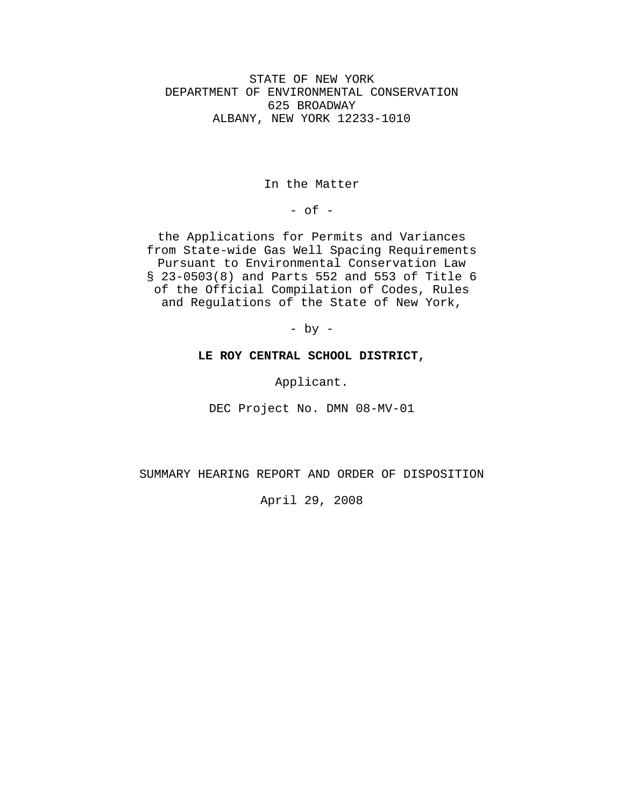STATE OF NEW YORK DEPARTMENT OF ENVIRONMENTAL CONSERVATION 625 BROADWAY ALBANY, NEW YORK 12233-1010

In the Matter

 $-$  of  $-$ 

the Applications for Permits and Variances from State-wide Gas Well Spacing Requirements Pursuant to Environmental Conservation Law § 23-0503(8) and Parts 552 and 553 of Title 6 of the Official Compilation of Codes, Rules and Regulations of the State of New York,

- by -

## **LE ROY CENTRAL SCHOOL DISTRICT,**

Applicant.

DEC Project No. DMN 08-MV-01

SUMMARY HEARING REPORT AND ORDER OF DISPOSITION

April 29, 2008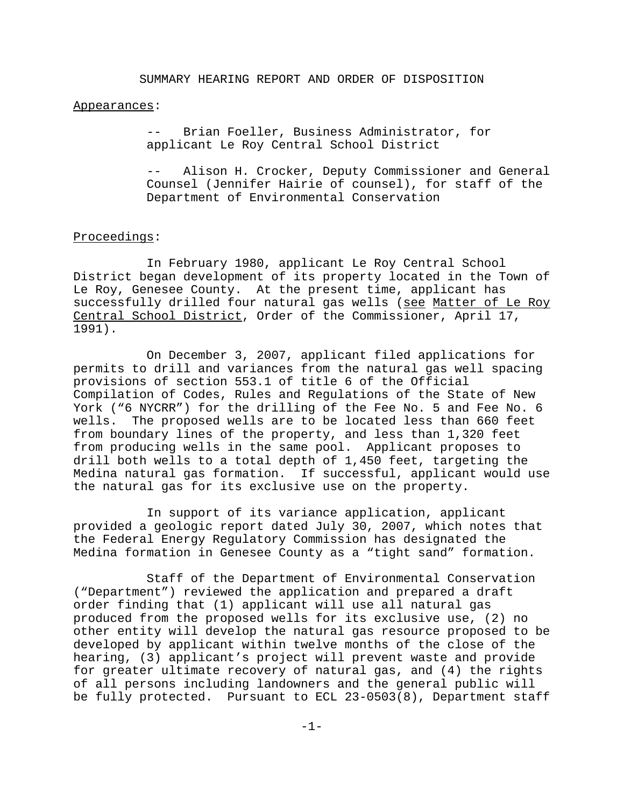#### Appearances:

Brian Foeller, Business Administrator, for applicant Le Roy Central School District

Alison H. Crocker, Deputy Commissioner and General Counsel (Jennifer Hairie of counsel), for staff of the Department of Environmental Conservation

### Proceedings:

In February 1980, applicant Le Roy Central School District began development of its property located in the Town of Le Roy, Genesee County. At the present time, applicant has successfully drilled four natural gas wells (see Matter of Le Roy Central School District, Order of the Commissioner, April 17, 1991).

On December 3, 2007, applicant filed applications for permits to drill and variances from the natural gas well spacing provisions of section 553.1 of title 6 of the Official Compilation of Codes, Rules and Regulations of the State of New York ("6 NYCRR") for the drilling of the Fee No. 5 and Fee No. 6 wells. The proposed wells are to be located less than 660 feet from boundary lines of the property, and less than 1,320 feet from producing wells in the same pool. Applicant proposes to drill both wells to a total depth of 1,450 feet, targeting the Medina natural gas formation. If successful, applicant would use the natural gas for its exclusive use on the property.

In support of its variance application, applicant provided a geologic report dated July 30, 2007, which notes that the Federal Energy Regulatory Commission has designated the Medina formation in Genesee County as a "tight sand" formation.

Staff of the Department of Environmental Conservation ("Department") reviewed the application and prepared a draft order finding that (1) applicant will use all natural gas produced from the proposed wells for its exclusive use, (2) no other entity will develop the natural gas resource proposed to be developed by applicant within twelve months of the close of the hearing, (3) applicant's project will prevent waste and provide for greater ultimate recovery of natural gas, and (4) the rights of all persons including landowners and the general public will be fully protected. Pursuant to ECL 23-0503(8), Department staff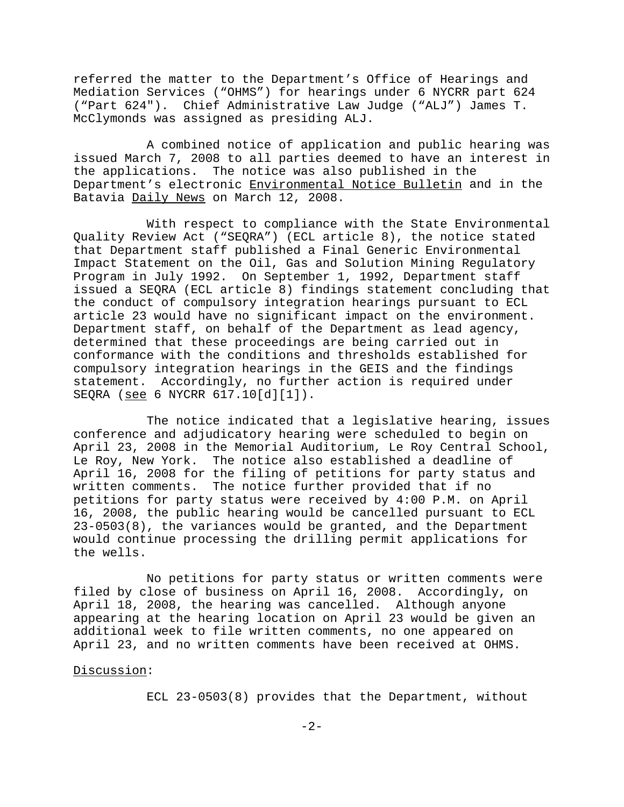referred the matter to the Department's Office of Hearings and Mediation Services ("OHMS") for hearings under 6 NYCRR part 624 ("Part 624"). Chief Administrative Law Judge ("ALJ") James T. McClymonds was assigned as presiding ALJ.

A combined notice of application and public hearing was issued March 7, 2008 to all parties deemed to have an interest in the applications. The notice was also published in the Department's electronic Environmental Notice Bulletin and in the Batavia Daily News on March 12, 2008.

With respect to compliance with the State Environmental Quality Review Act ("SEQRA") (ECL article 8), the notice stated that Department staff published a Final Generic Environmental Impact Statement on the Oil, Gas and Solution Mining Regulatory Program in July 1992. On September 1, 1992, Department staff issued a SEQRA (ECL article 8) findings statement concluding that the conduct of compulsory integration hearings pursuant to ECL article 23 would have no significant impact on the environment. Department staff, on behalf of the Department as lead agency, determined that these proceedings are being carried out in conformance with the conditions and thresholds established for compulsory integration hearings in the GEIS and the findings statement. Accordingly, no further action is required under SEQRA (see 6 NYCRR 617.10[d][1]).

The notice indicated that a legislative hearing, issues conference and adjudicatory hearing were scheduled to begin on April 23, 2008 in the Memorial Auditorium, Le Roy Central School, Le Roy, New York. The notice also established a deadline of April 16, 2008 for the filing of petitions for party status and written comments. The notice further provided that if no petitions for party status were received by 4:00 P.M. on April 16, 2008, the public hearing would be cancelled pursuant to ECL 23-0503(8), the variances would be granted, and the Department would continue processing the drilling permit applications for the wells.

No petitions for party status or written comments were filed by close of business on April 16, 2008. Accordingly, on April 18, 2008, the hearing was cancelled. Although anyone appearing at the hearing location on April 23 would be given an additional week to file written comments, no one appeared on April 23, and no written comments have been received at OHMS.

### Discussion:

ECL 23-0503(8) provides that the Department, without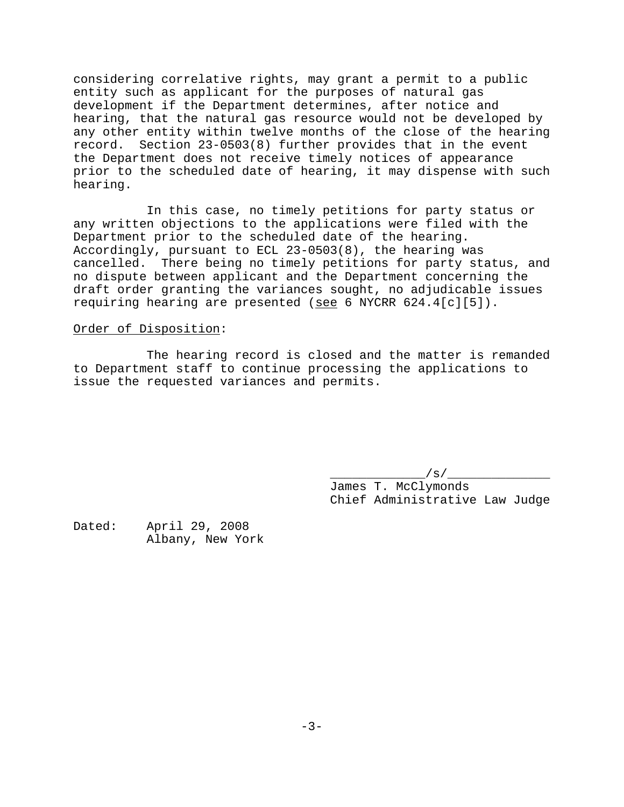considering correlative rights, may grant a permit to a public entity such as applicant for the purposes of natural gas development if the Department determines, after notice and hearing, that the natural gas resource would not be developed by any other entity within twelve months of the close of the hearing record. Section 23-0503(8) further provides that in the event the Department does not receive timely notices of appearance prior to the scheduled date of hearing, it may dispense with such hearing.

In this case, no timely petitions for party status or any written objections to the applications were filed with the Department prior to the scheduled date of the hearing. Accordingly, pursuant to ECL 23-0503(8), the hearing was cancelled. There being no timely petitions for party status, and no dispute between applicant and the Department concerning the draft order granting the variances sought, no adjudicable issues requiring hearing are presented (see 6 NYCRR 624.4[c][5]).

# Order of Disposition:

The hearing record is closed and the matter is remanded to Department staff to continue processing the applications to issue the requested variances and permits.

> $\_$ /s/ $\_$ James T. McClymonds Chief Administrative Law Judge

Dated: April 29, 2008 Albany, New York